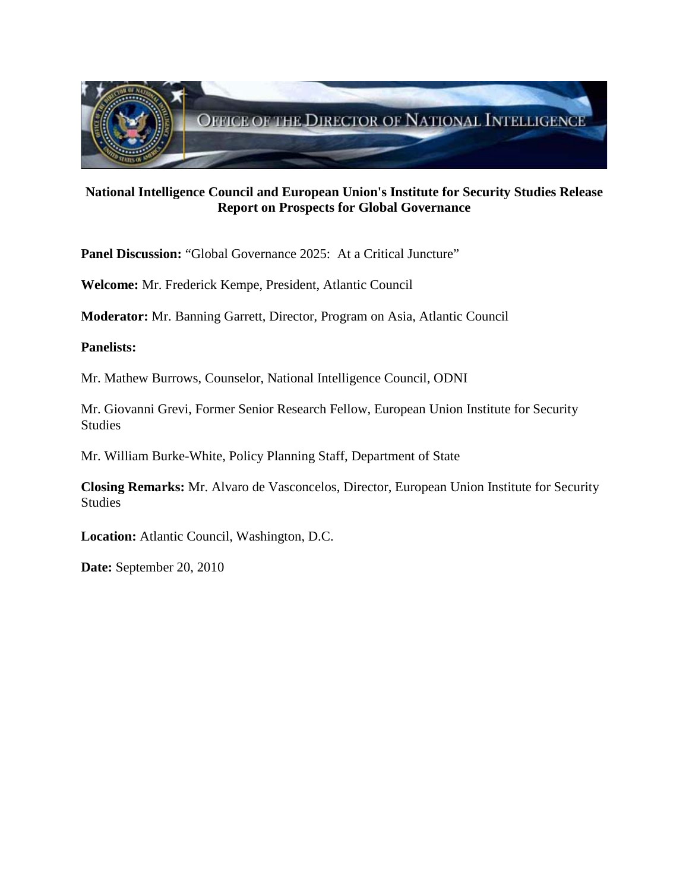

# **National Intelligence Council and European Union's Institute for Security Studies Release Report on Prospects for Global Governance**

Panel Discussion: "Global Governance 2025: At a Critical Juncture"

**Welcome:** Mr. Frederick Kempe, President, Atlantic Council

**Moderator:** Mr. Banning Garrett, Director, Program on Asia, Atlantic Council

### **Panelists:**

Mr. Mathew Burrows, Counselor, National Intelligence Council, ODNI

Mr. Giovanni Grevi, Former Senior Research Fellow, European Union Institute for Security Studies

Mr. William Burke-White, Policy Planning Staff, Department of State

**Closing Remarks:** Mr. Alvaro de Vasconcelos, Director, European Union Institute for Security Studies

**Location:** Atlantic Council, Washington, D.C.

**Date:** September 20, 2010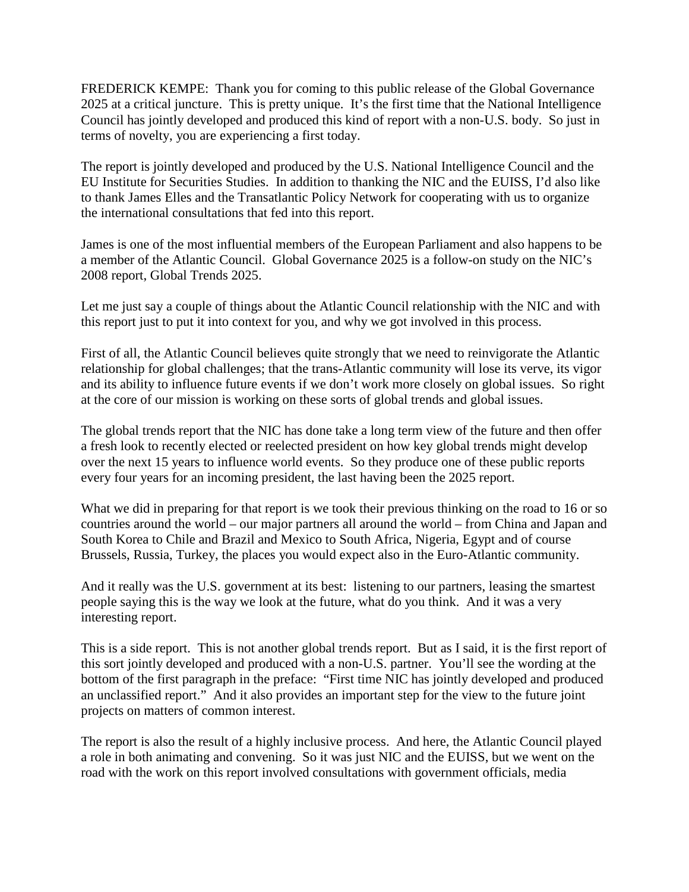FREDERICK KEMPE: Thank you for coming to this public release of the Global Governance 2025 at a critical juncture. This is pretty unique. It's the first time that the National Intelligence Council has jointly developed and produced this kind of report with a non-U.S. body. So just in terms of novelty, you are experiencing a first today.

The report is jointly developed and produced by the U.S. National Intelligence Council and the EU Institute for Securities Studies. In addition to thanking the NIC and the EUISS, I'd also like to thank James Elles and the Transatlantic Policy Network for cooperating with us to organize the international consultations that fed into this report.

James is one of the most influential members of the European Parliament and also happens to be a member of the Atlantic Council. Global Governance 2025 is a follow-on study on the NIC's 2008 report, Global Trends 2025.

Let me just say a couple of things about the Atlantic Council relationship with the NIC and with this report just to put it into context for you, and why we got involved in this process.

First of all, the Atlantic Council believes quite strongly that we need to reinvigorate the Atlantic relationship for global challenges; that the trans-Atlantic community will lose its verve, its vigor and its ability to influence future events if we don't work more closely on global issues. So right at the core of our mission is working on these sorts of global trends and global issues.

The global trends report that the NIC has done take a long term view of the future and then offer a fresh look to recently elected or reelected president on how key global trends might develop over the next 15 years to influence world events. So they produce one of these public reports every four years for an incoming president, the last having been the 2025 report.

What we did in preparing for that report is we took their previous thinking on the road to 16 or so countries around the world – our major partners all around the world – from China and Japan and South Korea to Chile and Brazil and Mexico to South Africa, Nigeria, Egypt and of course Brussels, Russia, Turkey, the places you would expect also in the Euro-Atlantic community.

And it really was the U.S. government at its best: listening to our partners, leasing the smartest people saying this is the way we look at the future, what do you think. And it was a very interesting report.

This is a side report. This is not another global trends report. But as I said, it is the first report of this sort jointly developed and produced with a non-U.S. partner. You'll see the wording at the bottom of the first paragraph in the preface: "First time NIC has jointly developed and produced an unclassified report." And it also provides an important step for the view to the future joint projects on matters of common interest.

The report is also the result of a highly inclusive process. And here, the Atlantic Council played a role in both animating and convening. So it was just NIC and the EUISS, but we went on the road with the work on this report involved consultations with government officials, media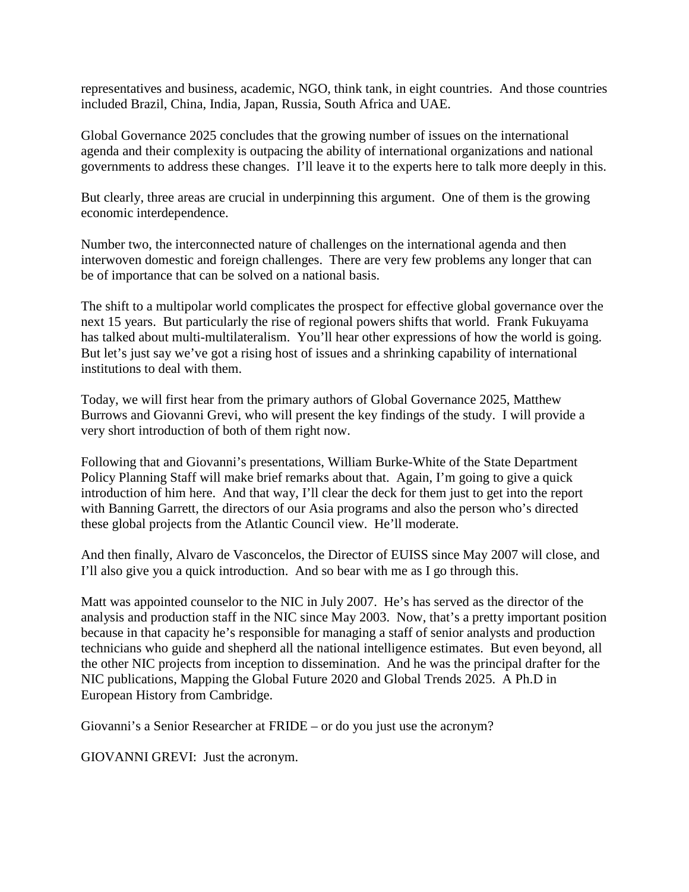representatives and business, academic, NGO, think tank, in eight countries. And those countries included Brazil, China, India, Japan, Russia, South Africa and UAE.

Global Governance 2025 concludes that the growing number of issues on the international agenda and their complexity is outpacing the ability of international organizations and national governments to address these changes. I'll leave it to the experts here to talk more deeply in this.

But clearly, three areas are crucial in underpinning this argument. One of them is the growing economic interdependence.

Number two, the interconnected nature of challenges on the international agenda and then interwoven domestic and foreign challenges. There are very few problems any longer that can be of importance that can be solved on a national basis.

The shift to a multipolar world complicates the prospect for effective global governance over the next 15 years. But particularly the rise of regional powers shifts that world. Frank Fukuyama has talked about multi-multilateralism. You'll hear other expressions of how the world is going. But let's just say we've got a rising host of issues and a shrinking capability of international institutions to deal with them.

Today, we will first hear from the primary authors of Global Governance 2025, Matthew Burrows and Giovanni Grevi, who will present the key findings of the study. I will provide a very short introduction of both of them right now.

Following that and Giovanni's presentations, William Burke-White of the State Department Policy Planning Staff will make brief remarks about that. Again, I'm going to give a quick introduction of him here. And that way, I'll clear the deck for them just to get into the report with Banning Garrett, the directors of our Asia programs and also the person who's directed these global projects from the Atlantic Council view. He'll moderate.

And then finally, Alvaro de Vasconcelos, the Director of EUISS since May 2007 will close, and I'll also give you a quick introduction. And so bear with me as I go through this.

Matt was appointed counselor to the NIC in July 2007. He's has served as the director of the analysis and production staff in the NIC since May 2003. Now, that's a pretty important position because in that capacity he's responsible for managing a staff of senior analysts and production technicians who guide and shepherd all the national intelligence estimates. But even beyond, all the other NIC projects from inception to dissemination. And he was the principal drafter for the NIC publications, Mapping the Global Future 2020 and Global Trends 2025. A Ph.D in European History from Cambridge.

Giovanni's a Senior Researcher at FRIDE – or do you just use the acronym?

GIOVANNI GREVI: Just the acronym.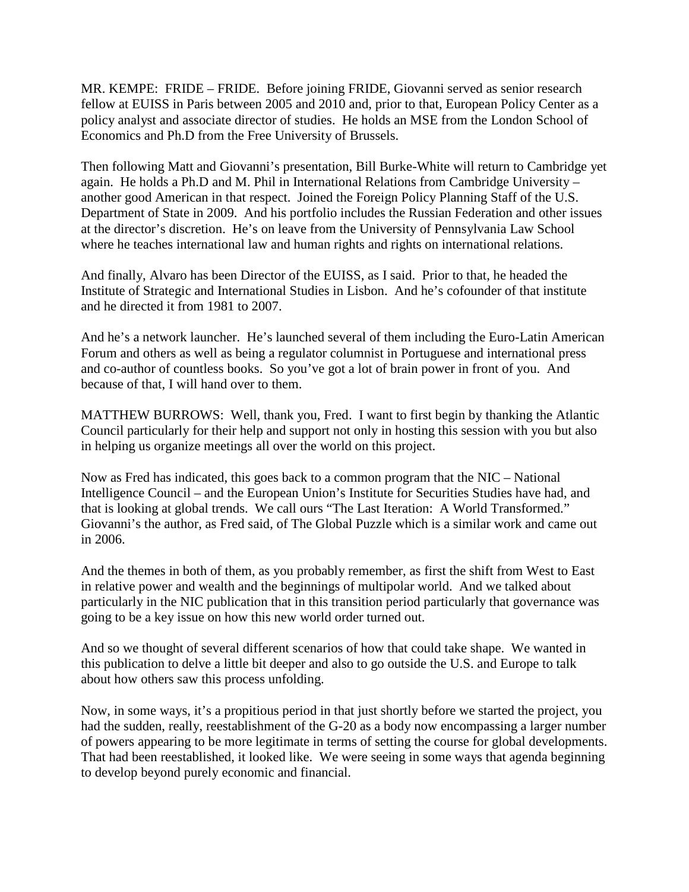MR. KEMPE: FRIDE – FRIDE. Before joining FRIDE, Giovanni served as senior research fellow at EUISS in Paris between 2005 and 2010 and, prior to that, European Policy Center as a policy analyst and associate director of studies. He holds an MSE from the London School of Economics and Ph.D from the Free University of Brussels.

Then following Matt and Giovanni's presentation, Bill Burke-White will return to Cambridge yet again. He holds a Ph.D and M. Phil in International Relations from Cambridge University – another good American in that respect. Joined the Foreign Policy Planning Staff of the U.S. Department of State in 2009. And his portfolio includes the Russian Federation and other issues at the director's discretion. He's on leave from the University of Pennsylvania Law School where he teaches international law and human rights and rights on international relations.

And finally, Alvaro has been Director of the EUISS, as I said. Prior to that, he headed the Institute of Strategic and International Studies in Lisbon. And he's cofounder of that institute and he directed it from 1981 to 2007.

And he's a network launcher. He's launched several of them including the Euro-Latin American Forum and others as well as being a regulator columnist in Portuguese and international press and co-author of countless books. So you've got a lot of brain power in front of you. And because of that, I will hand over to them.

MATTHEW BURROWS: Well, thank you, Fred. I want to first begin by thanking the Atlantic Council particularly for their help and support not only in hosting this session with you but also in helping us organize meetings all over the world on this project.

Now as Fred has indicated, this goes back to a common program that the NIC – National Intelligence Council – and the European Union's Institute for Securities Studies have had, and that is looking at global trends. We call ours "The Last Iteration: A World Transformed." Giovanni's the author, as Fred said, of The Global Puzzle which is a similar work and came out in 2006.

And the themes in both of them, as you probably remember, as first the shift from West to East in relative power and wealth and the beginnings of multipolar world. And we talked about particularly in the NIC publication that in this transition period particularly that governance was going to be a key issue on how this new world order turned out.

And so we thought of several different scenarios of how that could take shape. We wanted in this publication to delve a little bit deeper and also to go outside the U.S. and Europe to talk about how others saw this process unfolding.

Now, in some ways, it's a propitious period in that just shortly before we started the project, you had the sudden, really, reestablishment of the G-20 as a body now encompassing a larger number of powers appearing to be more legitimate in terms of setting the course for global developments. That had been reestablished, it looked like. We were seeing in some ways that agenda beginning to develop beyond purely economic and financial.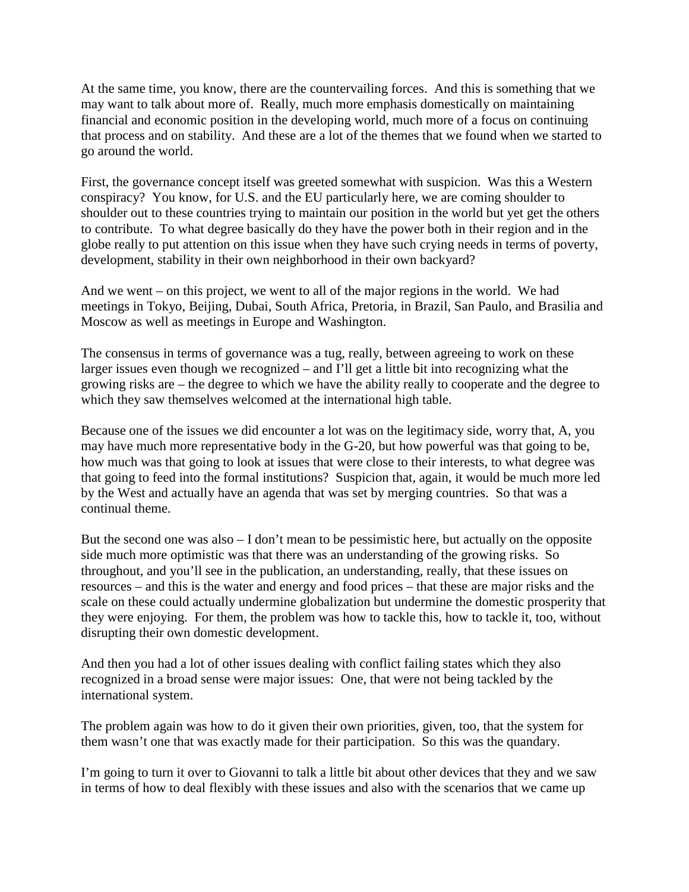At the same time, you know, there are the countervailing forces. And this is something that we may want to talk about more of. Really, much more emphasis domestically on maintaining financial and economic position in the developing world, much more of a focus on continuing that process and on stability. And these are a lot of the themes that we found when we started to go around the world.

First, the governance concept itself was greeted somewhat with suspicion. Was this a Western conspiracy? You know, for U.S. and the EU particularly here, we are coming shoulder to shoulder out to these countries trying to maintain our position in the world but yet get the others to contribute. To what degree basically do they have the power both in their region and in the globe really to put attention on this issue when they have such crying needs in terms of poverty, development, stability in their own neighborhood in their own backyard?

And we went – on this project, we went to all of the major regions in the world. We had meetings in Tokyo, Beijing, Dubai, South Africa, Pretoria, in Brazil, San Paulo, and Brasilia and Moscow as well as meetings in Europe and Washington.

The consensus in terms of governance was a tug, really, between agreeing to work on these larger issues even though we recognized – and I'll get a little bit into recognizing what the growing risks are – the degree to which we have the ability really to cooperate and the degree to which they saw themselves welcomed at the international high table.

Because one of the issues we did encounter a lot was on the legitimacy side, worry that, A, you may have much more representative body in the G-20, but how powerful was that going to be, how much was that going to look at issues that were close to their interests, to what degree was that going to feed into the formal institutions? Suspicion that, again, it would be much more led by the West and actually have an agenda that was set by merging countries. So that was a continual theme.

But the second one was also – I don't mean to be pessimistic here, but actually on the opposite side much more optimistic was that there was an understanding of the growing risks. So throughout, and you'll see in the publication, an understanding, really, that these issues on resources – and this is the water and energy and food prices – that these are major risks and the scale on these could actually undermine globalization but undermine the domestic prosperity that they were enjoying. For them, the problem was how to tackle this, how to tackle it, too, without disrupting their own domestic development.

And then you had a lot of other issues dealing with conflict failing states which they also recognized in a broad sense were major issues: One, that were not being tackled by the international system.

The problem again was how to do it given their own priorities, given, too, that the system for them wasn't one that was exactly made for their participation. So this was the quandary.

I'm going to turn it over to Giovanni to talk a little bit about other devices that they and we saw in terms of how to deal flexibly with these issues and also with the scenarios that we came up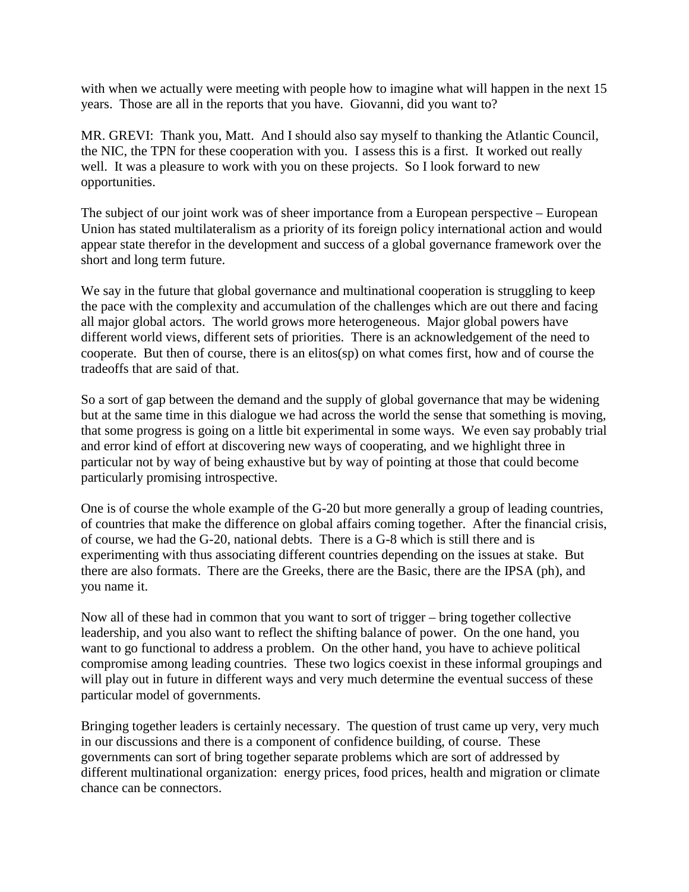with when we actually were meeting with people how to imagine what will happen in the next 15 years. Those are all in the reports that you have. Giovanni, did you want to?

MR. GREVI: Thank you, Matt. And I should also say myself to thanking the Atlantic Council, the NIC, the TPN for these cooperation with you. I assess this is a first. It worked out really well. It was a pleasure to work with you on these projects. So I look forward to new opportunities.

The subject of our joint work was of sheer importance from a European perspective – European Union has stated multilateralism as a priority of its foreign policy international action and would appear state therefor in the development and success of a global governance framework over the short and long term future.

We say in the future that global governance and multinational cooperation is struggling to keep the pace with the complexity and accumulation of the challenges which are out there and facing all major global actors. The world grows more heterogeneous. Major global powers have different world views, different sets of priorities. There is an acknowledgement of the need to cooperate. But then of course, there is an elitos(sp) on what comes first, how and of course the tradeoffs that are said of that.

So a sort of gap between the demand and the supply of global governance that may be widening but at the same time in this dialogue we had across the world the sense that something is moving, that some progress is going on a little bit experimental in some ways. We even say probably trial and error kind of effort at discovering new ways of cooperating, and we highlight three in particular not by way of being exhaustive but by way of pointing at those that could become particularly promising introspective.

One is of course the whole example of the G-20 but more generally a group of leading countries, of countries that make the difference on global affairs coming together. After the financial crisis, of course, we had the G-20, national debts. There is a G-8 which is still there and is experimenting with thus associating different countries depending on the issues at stake. But there are also formats. There are the Greeks, there are the Basic, there are the IPSA (ph), and you name it.

Now all of these had in common that you want to sort of trigger – bring together collective leadership, and you also want to reflect the shifting balance of power. On the one hand, you want to go functional to address a problem. On the other hand, you have to achieve political compromise among leading countries. These two logics coexist in these informal groupings and will play out in future in different ways and very much determine the eventual success of these particular model of governments.

Bringing together leaders is certainly necessary. The question of trust came up very, very much in our discussions and there is a component of confidence building, of course. These governments can sort of bring together separate problems which are sort of addressed by different multinational organization: energy prices, food prices, health and migration or climate chance can be connectors.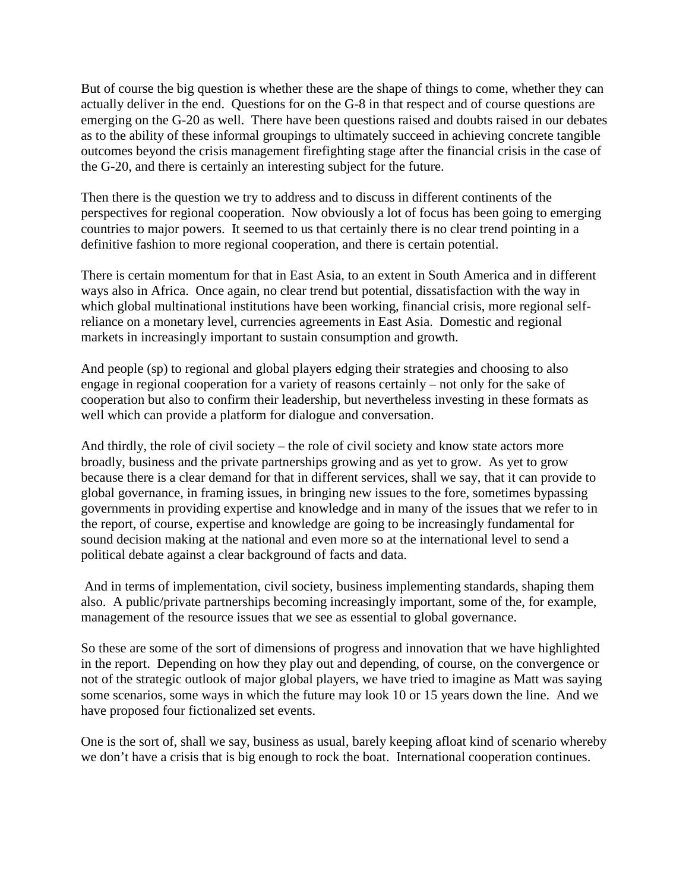But of course the big question is whether these are the shape of things to come, whether they can actually deliver in the end. Questions for on the G-8 in that respect and of course questions are emerging on the G-20 as well. There have been questions raised and doubts raised in our debates as to the ability of these informal groupings to ultimately succeed in achieving concrete tangible outcomes beyond the crisis management firefighting stage after the financial crisis in the case of the G-20, and there is certainly an interesting subject for the future.

Then there is the question we try to address and to discuss in different continents of the perspectives for regional cooperation. Now obviously a lot of focus has been going to emerging countries to major powers. It seemed to us that certainly there is no clear trend pointing in a definitive fashion to more regional cooperation, and there is certain potential.

There is certain momentum for that in East Asia, to an extent in South America and in different ways also in Africa. Once again, no clear trend but potential, dissatisfaction with the way in which global multinational institutions have been working, financial crisis, more regional selfreliance on a monetary level, currencies agreements in East Asia. Domestic and regional markets in increasingly important to sustain consumption and growth.

And people (sp) to regional and global players edging their strategies and choosing to also engage in regional cooperation for a variety of reasons certainly – not only for the sake of cooperation but also to confirm their leadership, but nevertheless investing in these formats as well which can provide a platform for dialogue and conversation.

And thirdly, the role of civil society – the role of civil society and know state actors more broadly, business and the private partnerships growing and as yet to grow. As yet to grow because there is a clear demand for that in different services, shall we say, that it can provide to global governance, in framing issues, in bringing new issues to the fore, sometimes bypassing governments in providing expertise and knowledge and in many of the issues that we refer to in the report, of course, expertise and knowledge are going to be increasingly fundamental for sound decision making at the national and even more so at the international level to send a political debate against a clear background of facts and data.

And in terms of implementation, civil society, business implementing standards, shaping them also. A public/private partnerships becoming increasingly important, some of the, for example, management of the resource issues that we see as essential to global governance.

So these are some of the sort of dimensions of progress and innovation that we have highlighted in the report. Depending on how they play out and depending, of course, on the convergence or not of the strategic outlook of major global players, we have tried to imagine as Matt was saying some scenarios, some ways in which the future may look 10 or 15 years down the line. And we have proposed four fictionalized set events.

One is the sort of, shall we say, business as usual, barely keeping afloat kind of scenario whereby we don't have a crisis that is big enough to rock the boat. International cooperation continues.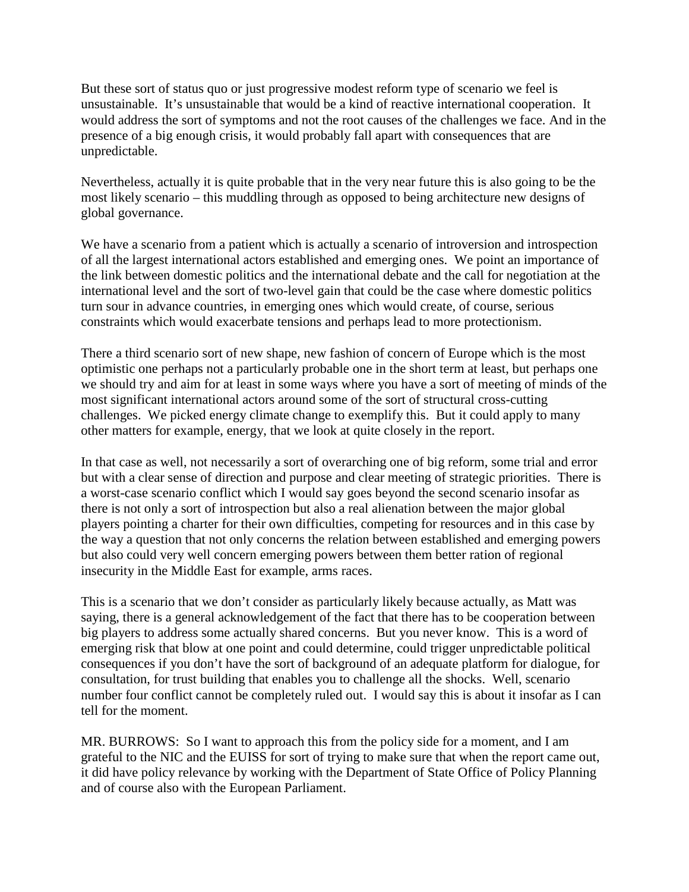But these sort of status quo or just progressive modest reform type of scenario we feel is unsustainable. It's unsustainable that would be a kind of reactive international cooperation. It would address the sort of symptoms and not the root causes of the challenges we face. And in the presence of a big enough crisis, it would probably fall apart with consequences that are unpredictable.

Nevertheless, actually it is quite probable that in the very near future this is also going to be the most likely scenario – this muddling through as opposed to being architecture new designs of global governance.

We have a scenario from a patient which is actually a scenario of introversion and introspection of all the largest international actors established and emerging ones. We point an importance of the link between domestic politics and the international debate and the call for negotiation at the international level and the sort of two-level gain that could be the case where domestic politics turn sour in advance countries, in emerging ones which would create, of course, serious constraints which would exacerbate tensions and perhaps lead to more protectionism.

There a third scenario sort of new shape, new fashion of concern of Europe which is the most optimistic one perhaps not a particularly probable one in the short term at least, but perhaps one we should try and aim for at least in some ways where you have a sort of meeting of minds of the most significant international actors around some of the sort of structural cross-cutting challenges. We picked energy climate change to exemplify this. But it could apply to many other matters for example, energy, that we look at quite closely in the report.

In that case as well, not necessarily a sort of overarching one of big reform, some trial and error but with a clear sense of direction and purpose and clear meeting of strategic priorities. There is a worst-case scenario conflict which I would say goes beyond the second scenario insofar as there is not only a sort of introspection but also a real alienation between the major global players pointing a charter for their own difficulties, competing for resources and in this case by the way a question that not only concerns the relation between established and emerging powers but also could very well concern emerging powers between them better ration of regional insecurity in the Middle East for example, arms races.

This is a scenario that we don't consider as particularly likely because actually, as Matt was saying, there is a general acknowledgement of the fact that there has to be cooperation between big players to address some actually shared concerns. But you never know. This is a word of emerging risk that blow at one point and could determine, could trigger unpredictable political consequences if you don't have the sort of background of an adequate platform for dialogue, for consultation, for trust building that enables you to challenge all the shocks. Well, scenario number four conflict cannot be completely ruled out. I would say this is about it insofar as I can tell for the moment.

MR. BURROWS: So I want to approach this from the policy side for a moment, and I am grateful to the NIC and the EUISS for sort of trying to make sure that when the report came out, it did have policy relevance by working with the Department of State Office of Policy Planning and of course also with the European Parliament.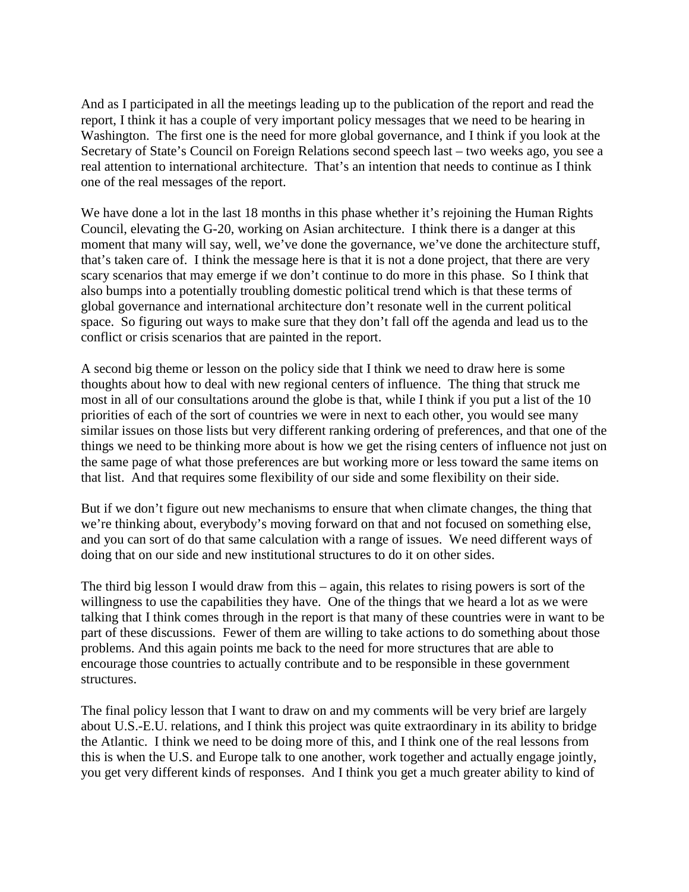And as I participated in all the meetings leading up to the publication of the report and read the report, I think it has a couple of very important policy messages that we need to be hearing in Washington. The first one is the need for more global governance, and I think if you look at the Secretary of State's Council on Foreign Relations second speech last – two weeks ago, you see a real attention to international architecture. That's an intention that needs to continue as I think one of the real messages of the report.

We have done a lot in the last 18 months in this phase whether it's rejoining the Human Rights Council, elevating the G-20, working on Asian architecture. I think there is a danger at this moment that many will say, well, we've done the governance, we've done the architecture stuff, that's taken care of. I think the message here is that it is not a done project, that there are very scary scenarios that may emerge if we don't continue to do more in this phase. So I think that also bumps into a potentially troubling domestic political trend which is that these terms of global governance and international architecture don't resonate well in the current political space. So figuring out ways to make sure that they don't fall off the agenda and lead us to the conflict or crisis scenarios that are painted in the report.

A second big theme or lesson on the policy side that I think we need to draw here is some thoughts about how to deal with new regional centers of influence. The thing that struck me most in all of our consultations around the globe is that, while I think if you put a list of the 10 priorities of each of the sort of countries we were in next to each other, you would see many similar issues on those lists but very different ranking ordering of preferences, and that one of the things we need to be thinking more about is how we get the rising centers of influence not just on the same page of what those preferences are but working more or less toward the same items on that list. And that requires some flexibility of our side and some flexibility on their side.

But if we don't figure out new mechanisms to ensure that when climate changes, the thing that we're thinking about, everybody's moving forward on that and not focused on something else, and you can sort of do that same calculation with a range of issues. We need different ways of doing that on our side and new institutional structures to do it on other sides.

The third big lesson I would draw from this – again, this relates to rising powers is sort of the willingness to use the capabilities they have. One of the things that we heard a lot as we were talking that I think comes through in the report is that many of these countries were in want to be part of these discussions. Fewer of them are willing to take actions to do something about those problems. And this again points me back to the need for more structures that are able to encourage those countries to actually contribute and to be responsible in these government structures.

The final policy lesson that I want to draw on and my comments will be very brief are largely about U.S.-E.U. relations, and I think this project was quite extraordinary in its ability to bridge the Atlantic. I think we need to be doing more of this, and I think one of the real lessons from this is when the U.S. and Europe talk to one another, work together and actually engage jointly, you get very different kinds of responses. And I think you get a much greater ability to kind of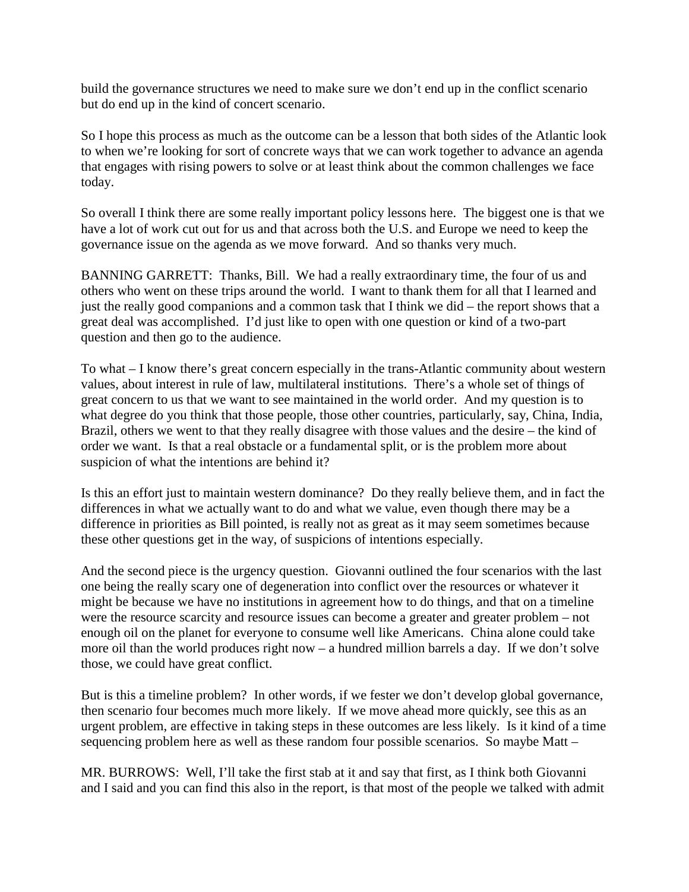build the governance structures we need to make sure we don't end up in the conflict scenario but do end up in the kind of concert scenario.

So I hope this process as much as the outcome can be a lesson that both sides of the Atlantic look to when we're looking for sort of concrete ways that we can work together to advance an agenda that engages with rising powers to solve or at least think about the common challenges we face today.

So overall I think there are some really important policy lessons here. The biggest one is that we have a lot of work cut out for us and that across both the U.S. and Europe we need to keep the governance issue on the agenda as we move forward. And so thanks very much.

BANNING GARRETT: Thanks, Bill. We had a really extraordinary time, the four of us and others who went on these trips around the world. I want to thank them for all that I learned and just the really good companions and a common task that I think we did – the report shows that a great deal was accomplished. I'd just like to open with one question or kind of a two-part question and then go to the audience.

To what – I know there's great concern especially in the trans-Atlantic community about western values, about interest in rule of law, multilateral institutions. There's a whole set of things of great concern to us that we want to see maintained in the world order. And my question is to what degree do you think that those people, those other countries, particularly, say, China, India, Brazil, others we went to that they really disagree with those values and the desire – the kind of order we want. Is that a real obstacle or a fundamental split, or is the problem more about suspicion of what the intentions are behind it?

Is this an effort just to maintain western dominance? Do they really believe them, and in fact the differences in what we actually want to do and what we value, even though there may be a difference in priorities as Bill pointed, is really not as great as it may seem sometimes because these other questions get in the way, of suspicions of intentions especially.

And the second piece is the urgency question. Giovanni outlined the four scenarios with the last one being the really scary one of degeneration into conflict over the resources or whatever it might be because we have no institutions in agreement how to do things, and that on a timeline were the resource scarcity and resource issues can become a greater and greater problem – not enough oil on the planet for everyone to consume well like Americans. China alone could take more oil than the world produces right now – a hundred million barrels a day. If we don't solve those, we could have great conflict.

But is this a timeline problem? In other words, if we fester we don't develop global governance, then scenario four becomes much more likely. If we move ahead more quickly, see this as an urgent problem, are effective in taking steps in these outcomes are less likely. Is it kind of a time sequencing problem here as well as these random four possible scenarios. So maybe Matt –

MR. BURROWS: Well, I'll take the first stab at it and say that first, as I think both Giovanni and I said and you can find this also in the report, is that most of the people we talked with admit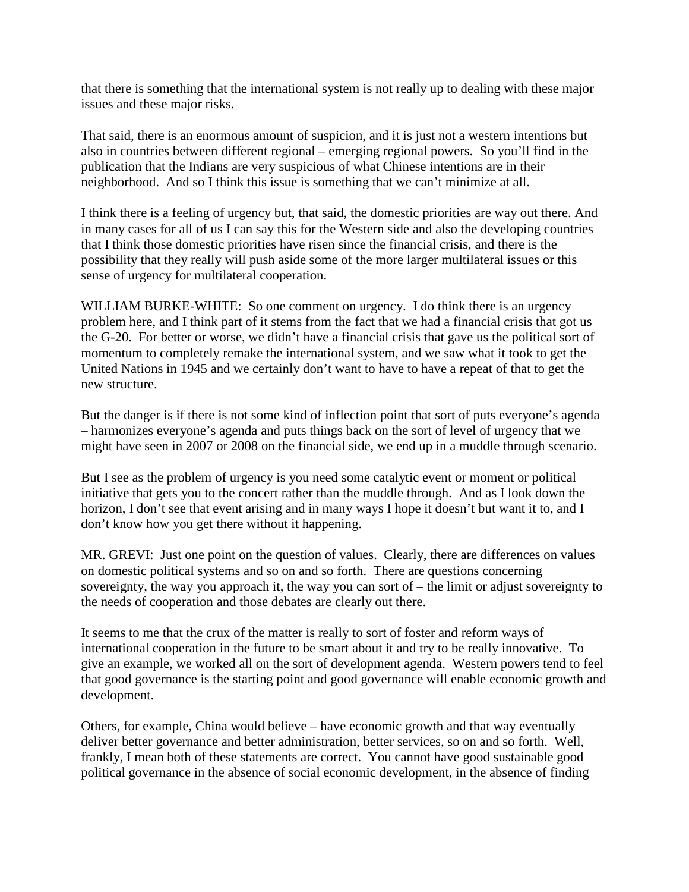that there is something that the international system is not really up to dealing with these major issues and these major risks.

That said, there is an enormous amount of suspicion, and it is just not a western intentions but also in countries between different regional – emerging regional powers. So you'll find in the publication that the Indians are very suspicious of what Chinese intentions are in their neighborhood. And so I think this issue is something that we can't minimize at all.

I think there is a feeling of urgency but, that said, the domestic priorities are way out there. And in many cases for all of us I can say this for the Western side and also the developing countries that I think those domestic priorities have risen since the financial crisis, and there is the possibility that they really will push aside some of the more larger multilateral issues or this sense of urgency for multilateral cooperation.

WILLIAM BURKE-WHITE: So one comment on urgency. I do think there is an urgency problem here, and I think part of it stems from the fact that we had a financial crisis that got us the G-20. For better or worse, we didn't have a financial crisis that gave us the political sort of momentum to completely remake the international system, and we saw what it took to get the United Nations in 1945 and we certainly don't want to have to have a repeat of that to get the new structure.

But the danger is if there is not some kind of inflection point that sort of puts everyone's agenda – harmonizes everyone's agenda and puts things back on the sort of level of urgency that we might have seen in 2007 or 2008 on the financial side, we end up in a muddle through scenario.

But I see as the problem of urgency is you need some catalytic event or moment or political initiative that gets you to the concert rather than the muddle through. And as I look down the horizon, I don't see that event arising and in many ways I hope it doesn't but want it to, and I don't know how you get there without it happening.

MR. GREVI: Just one point on the question of values. Clearly, there are differences on values on domestic political systems and so on and so forth. There are questions concerning sovereignty, the way you approach it, the way you can sort of – the limit or adjust sovereignty to the needs of cooperation and those debates are clearly out there.

It seems to me that the crux of the matter is really to sort of foster and reform ways of international cooperation in the future to be smart about it and try to be really innovative. To give an example, we worked all on the sort of development agenda. Western powers tend to feel that good governance is the starting point and good governance will enable economic growth and development.

Others, for example, China would believe – have economic growth and that way eventually deliver better governance and better administration, better services, so on and so forth. Well, frankly, I mean both of these statements are correct. You cannot have good sustainable good political governance in the absence of social economic development, in the absence of finding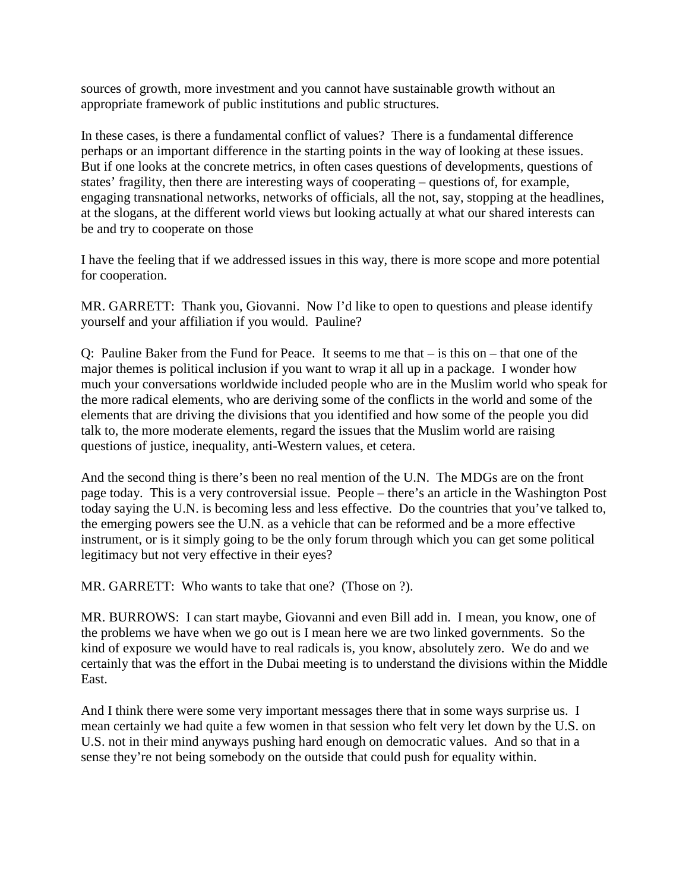sources of growth, more investment and you cannot have sustainable growth without an appropriate framework of public institutions and public structures.

In these cases, is there a fundamental conflict of values? There is a fundamental difference perhaps or an important difference in the starting points in the way of looking at these issues. But if one looks at the concrete metrics, in often cases questions of developments, questions of states' fragility, then there are interesting ways of cooperating – questions of, for example, engaging transnational networks, networks of officials, all the not, say, stopping at the headlines, at the slogans, at the different world views but looking actually at what our shared interests can be and try to cooperate on those

I have the feeling that if we addressed issues in this way, there is more scope and more potential for cooperation.

MR. GARRETT: Thank you, Giovanni. Now I'd like to open to questions and please identify yourself and your affiliation if you would. Pauline?

Q: Pauline Baker from the Fund for Peace. It seems to me that – is this on – that one of the major themes is political inclusion if you want to wrap it all up in a package. I wonder how much your conversations worldwide included people who are in the Muslim world who speak for the more radical elements, who are deriving some of the conflicts in the world and some of the elements that are driving the divisions that you identified and how some of the people you did talk to, the more moderate elements, regard the issues that the Muslim world are raising questions of justice, inequality, anti-Western values, et cetera.

And the second thing is there's been no real mention of the U.N. The MDGs are on the front page today. This is a very controversial issue. People – there's an article in the Washington Post today saying the U.N. is becoming less and less effective. Do the countries that you've talked to, the emerging powers see the U.N. as a vehicle that can be reformed and be a more effective instrument, or is it simply going to be the only forum through which you can get some political legitimacy but not very effective in their eyes?

MR. GARRETT: Who wants to take that one? (Those on ?).

MR. BURROWS: I can start maybe, Giovanni and even Bill add in. I mean, you know, one of the problems we have when we go out is I mean here we are two linked governments. So the kind of exposure we would have to real radicals is, you know, absolutely zero. We do and we certainly that was the effort in the Dubai meeting is to understand the divisions within the Middle East.

And I think there were some very important messages there that in some ways surprise us. I mean certainly we had quite a few women in that session who felt very let down by the U.S. on U.S. not in their mind anyways pushing hard enough on democratic values. And so that in a sense they're not being somebody on the outside that could push for equality within.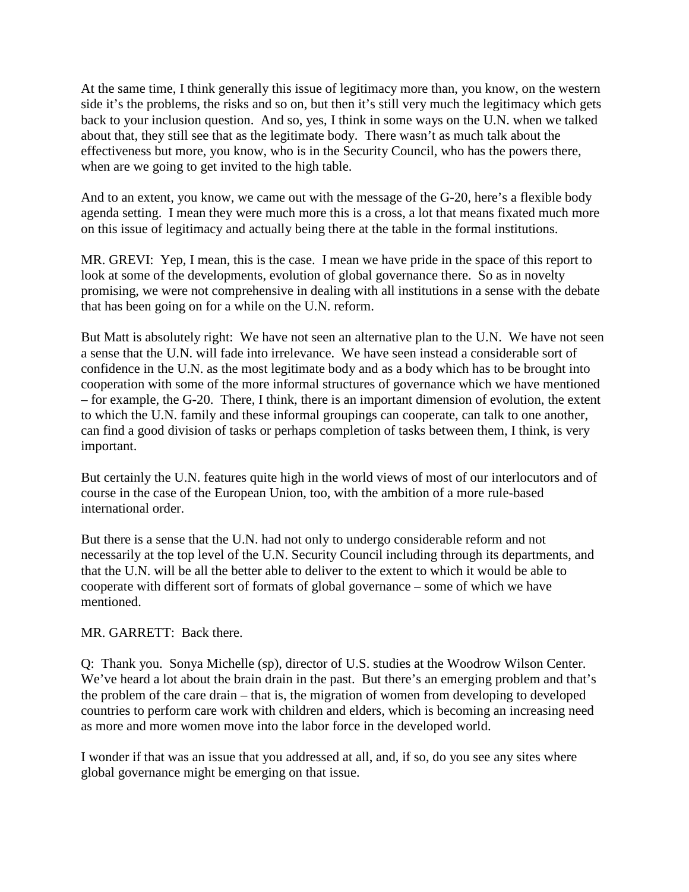At the same time, I think generally this issue of legitimacy more than, you know, on the western side it's the problems, the risks and so on, but then it's still very much the legitimacy which gets back to your inclusion question. And so, yes, I think in some ways on the U.N. when we talked about that, they still see that as the legitimate body. There wasn't as much talk about the effectiveness but more, you know, who is in the Security Council, who has the powers there, when are we going to get invited to the high table.

And to an extent, you know, we came out with the message of the G-20, here's a flexible body agenda setting. I mean they were much more this is a cross, a lot that means fixated much more on this issue of legitimacy and actually being there at the table in the formal institutions.

MR. GREVI: Yep, I mean, this is the case. I mean we have pride in the space of this report to look at some of the developments, evolution of global governance there. So as in novelty promising, we were not comprehensive in dealing with all institutions in a sense with the debate that has been going on for a while on the U.N. reform.

But Matt is absolutely right: We have not seen an alternative plan to the U.N. We have not seen a sense that the U.N. will fade into irrelevance. We have seen instead a considerable sort of confidence in the U.N. as the most legitimate body and as a body which has to be brought into cooperation with some of the more informal structures of governance which we have mentioned – for example, the G-20. There, I think, there is an important dimension of evolution, the extent to which the U.N. family and these informal groupings can cooperate, can talk to one another, can find a good division of tasks or perhaps completion of tasks between them, I think, is very important.

But certainly the U.N. features quite high in the world views of most of our interlocutors and of course in the case of the European Union, too, with the ambition of a more rule-based international order.

But there is a sense that the U.N. had not only to undergo considerable reform and not necessarily at the top level of the U.N. Security Council including through its departments, and that the U.N. will be all the better able to deliver to the extent to which it would be able to cooperate with different sort of formats of global governance – some of which we have mentioned.

#### MR. GARRETT: Back there.

Q: Thank you. Sonya Michelle (sp), director of U.S. studies at the Woodrow Wilson Center. We've heard a lot about the brain drain in the past. But there's an emerging problem and that's the problem of the care drain – that is, the migration of women from developing to developed countries to perform care work with children and elders, which is becoming an increasing need as more and more women move into the labor force in the developed world.

I wonder if that was an issue that you addressed at all, and, if so, do you see any sites where global governance might be emerging on that issue.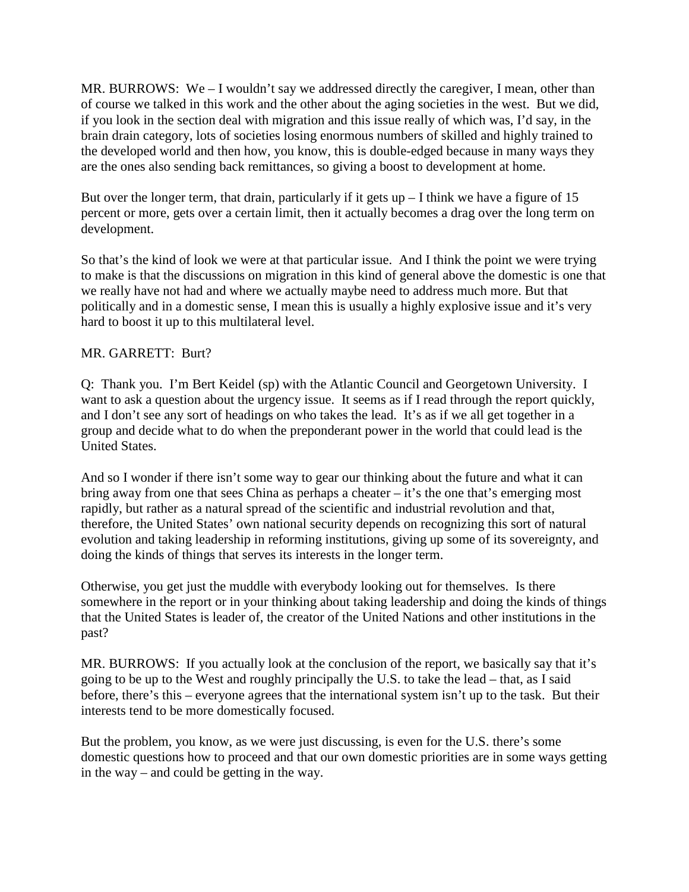MR. BURROWS: We – I wouldn't say we addressed directly the caregiver, I mean, other than of course we talked in this work and the other about the aging societies in the west. But we did, if you look in the section deal with migration and this issue really of which was, I'd say, in the brain drain category, lots of societies losing enormous numbers of skilled and highly trained to the developed world and then how, you know, this is double-edged because in many ways they are the ones also sending back remittances, so giving a boost to development at home.

But over the longer term, that drain, particularly if it gets  $up - I$  think we have a figure of 15 percent or more, gets over a certain limit, then it actually becomes a drag over the long term on development.

So that's the kind of look we were at that particular issue. And I think the point we were trying to make is that the discussions on migration in this kind of general above the domestic is one that we really have not had and where we actually maybe need to address much more. But that politically and in a domestic sense, I mean this is usually a highly explosive issue and it's very hard to boost it up to this multilateral level.

# MR. GARRETT: Burt?

Q: Thank you. I'm Bert Keidel (sp) with the Atlantic Council and Georgetown University. I want to ask a question about the urgency issue. It seems as if I read through the report quickly, and I don't see any sort of headings on who takes the lead. It's as if we all get together in a group and decide what to do when the preponderant power in the world that could lead is the United States.

And so I wonder if there isn't some way to gear our thinking about the future and what it can bring away from one that sees China as perhaps a cheater – it's the one that's emerging most rapidly, but rather as a natural spread of the scientific and industrial revolution and that, therefore, the United States' own national security depends on recognizing this sort of natural evolution and taking leadership in reforming institutions, giving up some of its sovereignty, and doing the kinds of things that serves its interests in the longer term.

Otherwise, you get just the muddle with everybody looking out for themselves. Is there somewhere in the report or in your thinking about taking leadership and doing the kinds of things that the United States is leader of, the creator of the United Nations and other institutions in the past?

MR. BURROWS: If you actually look at the conclusion of the report, we basically say that it's going to be up to the West and roughly principally the U.S. to take the lead – that, as I said before, there's this – everyone agrees that the international system isn't up to the task. But their interests tend to be more domestically focused.

But the problem, you know, as we were just discussing, is even for the U.S. there's some domestic questions how to proceed and that our own domestic priorities are in some ways getting in the way – and could be getting in the way.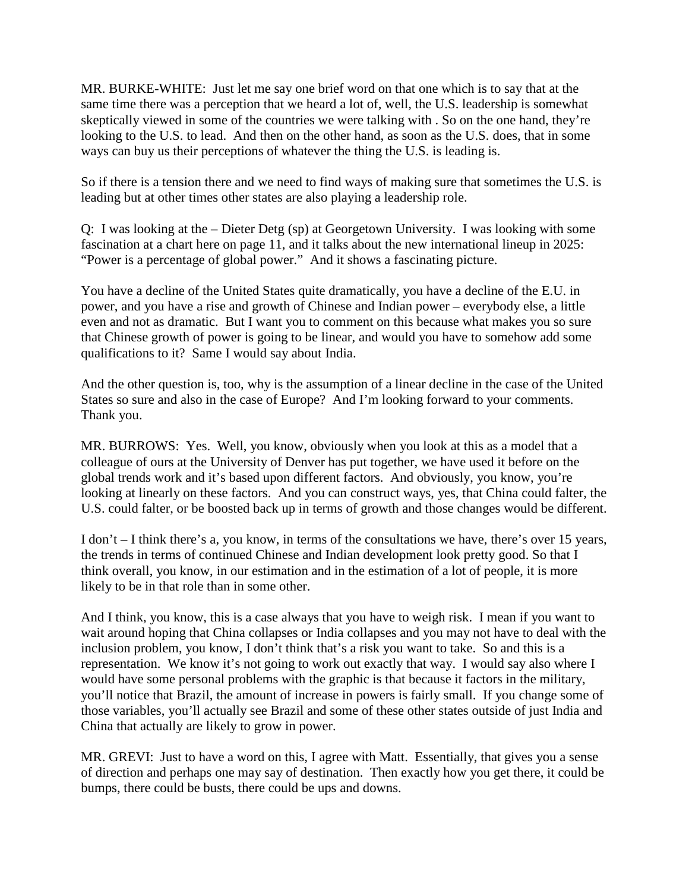MR. BURKE-WHITE: Just let me say one brief word on that one which is to say that at the same time there was a perception that we heard a lot of, well, the U.S. leadership is somewhat skeptically viewed in some of the countries we were talking with . So on the one hand, they're looking to the U.S. to lead. And then on the other hand, as soon as the U.S. does, that in some ways can buy us their perceptions of whatever the thing the U.S. is leading is.

So if there is a tension there and we need to find ways of making sure that sometimes the U.S. is leading but at other times other states are also playing a leadership role.

Q: I was looking at the – Dieter Detg (sp) at Georgetown University. I was looking with some fascination at a chart here on page 11, and it talks about the new international lineup in 2025: "Power is a percentage of global power." And it shows a fascinating picture.

You have a decline of the United States quite dramatically, you have a decline of the E.U. in power, and you have a rise and growth of Chinese and Indian power – everybody else, a little even and not as dramatic. But I want you to comment on this because what makes you so sure that Chinese growth of power is going to be linear, and would you have to somehow add some qualifications to it? Same I would say about India.

And the other question is, too, why is the assumption of a linear decline in the case of the United States so sure and also in the case of Europe? And I'm looking forward to your comments. Thank you.

MR. BURROWS: Yes. Well, you know, obviously when you look at this as a model that a colleague of ours at the University of Denver has put together, we have used it before on the global trends work and it's based upon different factors. And obviously, you know, you're looking at linearly on these factors. And you can construct ways, yes, that China could falter, the U.S. could falter, or be boosted back up in terms of growth and those changes would be different.

I don't – I think there's a, you know, in terms of the consultations we have, there's over 15 years, the trends in terms of continued Chinese and Indian development look pretty good. So that I think overall, you know, in our estimation and in the estimation of a lot of people, it is more likely to be in that role than in some other.

And I think, you know, this is a case always that you have to weigh risk. I mean if you want to wait around hoping that China collapses or India collapses and you may not have to deal with the inclusion problem, you know, I don't think that's a risk you want to take. So and this is a representation. We know it's not going to work out exactly that way. I would say also where I would have some personal problems with the graphic is that because it factors in the military, you'll notice that Brazil, the amount of increase in powers is fairly small. If you change some of those variables, you'll actually see Brazil and some of these other states outside of just India and China that actually are likely to grow in power.

MR. GREVI: Just to have a word on this, I agree with Matt. Essentially, that gives you a sense of direction and perhaps one may say of destination. Then exactly how you get there, it could be bumps, there could be busts, there could be ups and downs.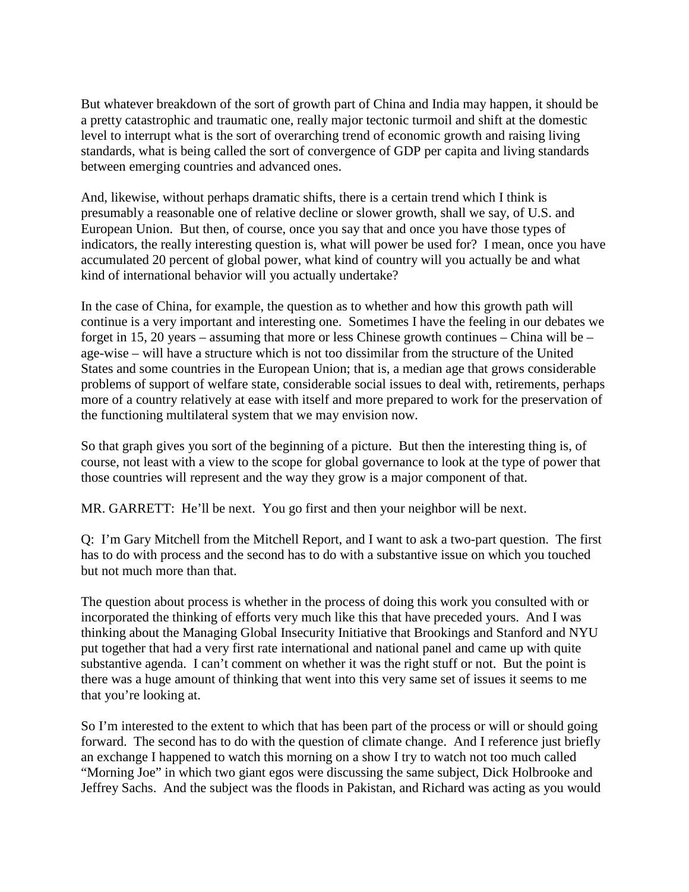But whatever breakdown of the sort of growth part of China and India may happen, it should be a pretty catastrophic and traumatic one, really major tectonic turmoil and shift at the domestic level to interrupt what is the sort of overarching trend of economic growth and raising living standards, what is being called the sort of convergence of GDP per capita and living standards between emerging countries and advanced ones.

And, likewise, without perhaps dramatic shifts, there is a certain trend which I think is presumably a reasonable one of relative decline or slower growth, shall we say, of U.S. and European Union. But then, of course, once you say that and once you have those types of indicators, the really interesting question is, what will power be used for? I mean, once you have accumulated 20 percent of global power, what kind of country will you actually be and what kind of international behavior will you actually undertake?

In the case of China, for example, the question as to whether and how this growth path will continue is a very important and interesting one. Sometimes I have the feeling in our debates we forget in 15, 20 years – assuming that more or less Chinese growth continues – China will be – age-wise – will have a structure which is not too dissimilar from the structure of the United States and some countries in the European Union; that is, a median age that grows considerable problems of support of welfare state, considerable social issues to deal with, retirements, perhaps more of a country relatively at ease with itself and more prepared to work for the preservation of the functioning multilateral system that we may envision now.

So that graph gives you sort of the beginning of a picture. But then the interesting thing is, of course, not least with a view to the scope for global governance to look at the type of power that those countries will represent and the way they grow is a major component of that.

MR. GARRETT: He'll be next. You go first and then your neighbor will be next.

Q: I'm Gary Mitchell from the Mitchell Report, and I want to ask a two-part question. The first has to do with process and the second has to do with a substantive issue on which you touched but not much more than that.

The question about process is whether in the process of doing this work you consulted with or incorporated the thinking of efforts very much like this that have preceded yours. And I was thinking about the Managing Global Insecurity Initiative that Brookings and Stanford and NYU put together that had a very first rate international and national panel and came up with quite substantive agenda. I can't comment on whether it was the right stuff or not. But the point is there was a huge amount of thinking that went into this very same set of issues it seems to me that you're looking at.

So I'm interested to the extent to which that has been part of the process or will or should going forward. The second has to do with the question of climate change. And I reference just briefly an exchange I happened to watch this morning on a show I try to watch not too much called "Morning Joe" in which two giant egos were discussing the same subject, Dick Holbrooke and Jeffrey Sachs. And the subject was the floods in Pakistan, and Richard was acting as you would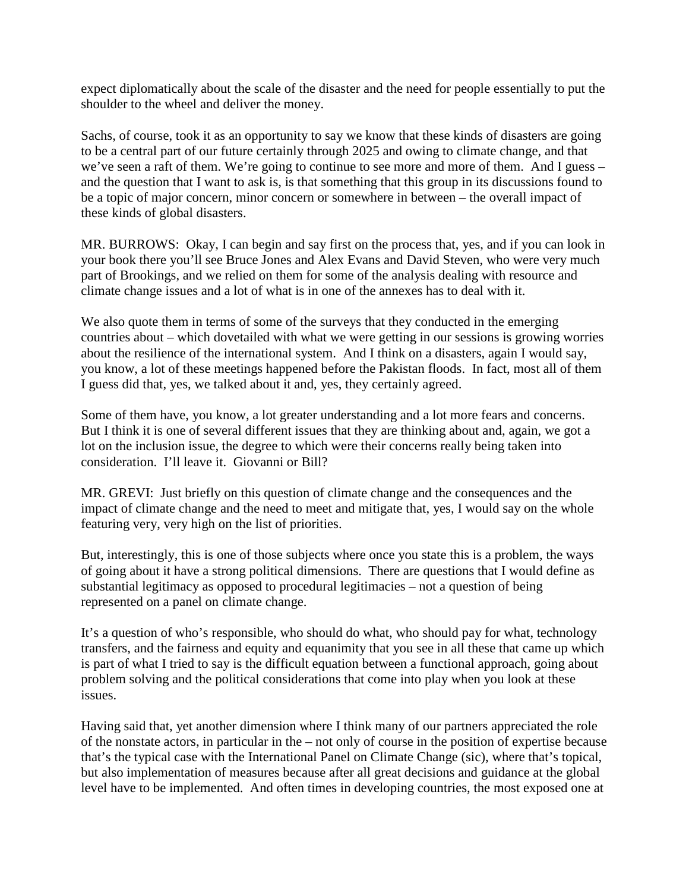expect diplomatically about the scale of the disaster and the need for people essentially to put the shoulder to the wheel and deliver the money.

Sachs, of course, took it as an opportunity to say we know that these kinds of disasters are going to be a central part of our future certainly through 2025 and owing to climate change, and that we've seen a raft of them. We're going to continue to see more and more of them. And I guess – and the question that I want to ask is, is that something that this group in its discussions found to be a topic of major concern, minor concern or somewhere in between – the overall impact of these kinds of global disasters.

MR. BURROWS: Okay, I can begin and say first on the process that, yes, and if you can look in your book there you'll see Bruce Jones and Alex Evans and David Steven, who were very much part of Brookings, and we relied on them for some of the analysis dealing with resource and climate change issues and a lot of what is in one of the annexes has to deal with it.

We also quote them in terms of some of the surveys that they conducted in the emerging countries about – which dovetailed with what we were getting in our sessions is growing worries about the resilience of the international system. And I think on a disasters, again I would say, you know, a lot of these meetings happened before the Pakistan floods. In fact, most all of them I guess did that, yes, we talked about it and, yes, they certainly agreed.

Some of them have, you know, a lot greater understanding and a lot more fears and concerns. But I think it is one of several different issues that they are thinking about and, again, we got a lot on the inclusion issue, the degree to which were their concerns really being taken into consideration. I'll leave it. Giovanni or Bill?

MR. GREVI: Just briefly on this question of climate change and the consequences and the impact of climate change and the need to meet and mitigate that, yes, I would say on the whole featuring very, very high on the list of priorities.

But, interestingly, this is one of those subjects where once you state this is a problem, the ways of going about it have a strong political dimensions. There are questions that I would define as substantial legitimacy as opposed to procedural legitimacies – not a question of being represented on a panel on climate change.

It's a question of who's responsible, who should do what, who should pay for what, technology transfers, and the fairness and equity and equanimity that you see in all these that came up which is part of what I tried to say is the difficult equation between a functional approach, going about problem solving and the political considerations that come into play when you look at these issues.

Having said that, yet another dimension where I think many of our partners appreciated the role of the nonstate actors, in particular in the – not only of course in the position of expertise because that's the typical case with the International Panel on Climate Change (sic), where that's topical, but also implementation of measures because after all great decisions and guidance at the global level have to be implemented. And often times in developing countries, the most exposed one at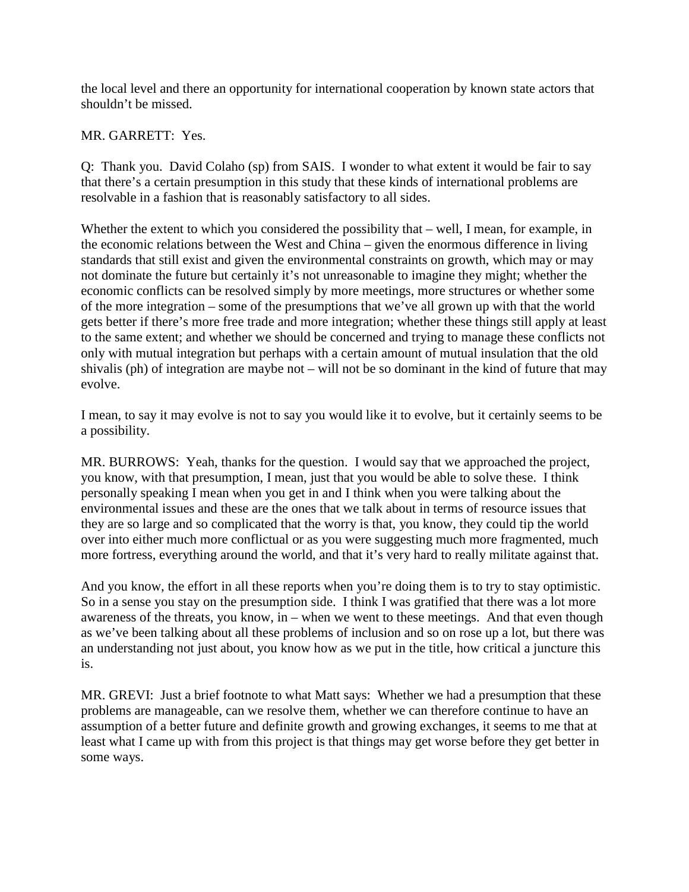the local level and there an opportunity for international cooperation by known state actors that shouldn't be missed.

MR. GARRETT: Yes.

Q: Thank you. David Colaho (sp) from SAIS. I wonder to what extent it would be fair to say that there's a certain presumption in this study that these kinds of international problems are resolvable in a fashion that is reasonably satisfactory to all sides.

Whether the extent to which you considered the possibility that – well, I mean, for example, in the economic relations between the West and China – given the enormous difference in living standards that still exist and given the environmental constraints on growth, which may or may not dominate the future but certainly it's not unreasonable to imagine they might; whether the economic conflicts can be resolved simply by more meetings, more structures or whether some of the more integration – some of the presumptions that we've all grown up with that the world gets better if there's more free trade and more integration; whether these things still apply at least to the same extent; and whether we should be concerned and trying to manage these conflicts not only with mutual integration but perhaps with a certain amount of mutual insulation that the old shivalis (ph) of integration are maybe not – will not be so dominant in the kind of future that may evolve.

I mean, to say it may evolve is not to say you would like it to evolve, but it certainly seems to be a possibility.

MR. BURROWS: Yeah, thanks for the question. I would say that we approached the project, you know, with that presumption, I mean, just that you would be able to solve these. I think personally speaking I mean when you get in and I think when you were talking about the environmental issues and these are the ones that we talk about in terms of resource issues that they are so large and so complicated that the worry is that, you know, they could tip the world over into either much more conflictual or as you were suggesting much more fragmented, much more fortress, everything around the world, and that it's very hard to really militate against that.

And you know, the effort in all these reports when you're doing them is to try to stay optimistic. So in a sense you stay on the presumption side. I think I was gratified that there was a lot more awareness of the threats, you know, in – when we went to these meetings. And that even though as we've been talking about all these problems of inclusion and so on rose up a lot, but there was an understanding not just about, you know how as we put in the title, how critical a juncture this is.

MR. GREVI: Just a brief footnote to what Matt says: Whether we had a presumption that these problems are manageable, can we resolve them, whether we can therefore continue to have an assumption of a better future and definite growth and growing exchanges, it seems to me that at least what I came up with from this project is that things may get worse before they get better in some ways.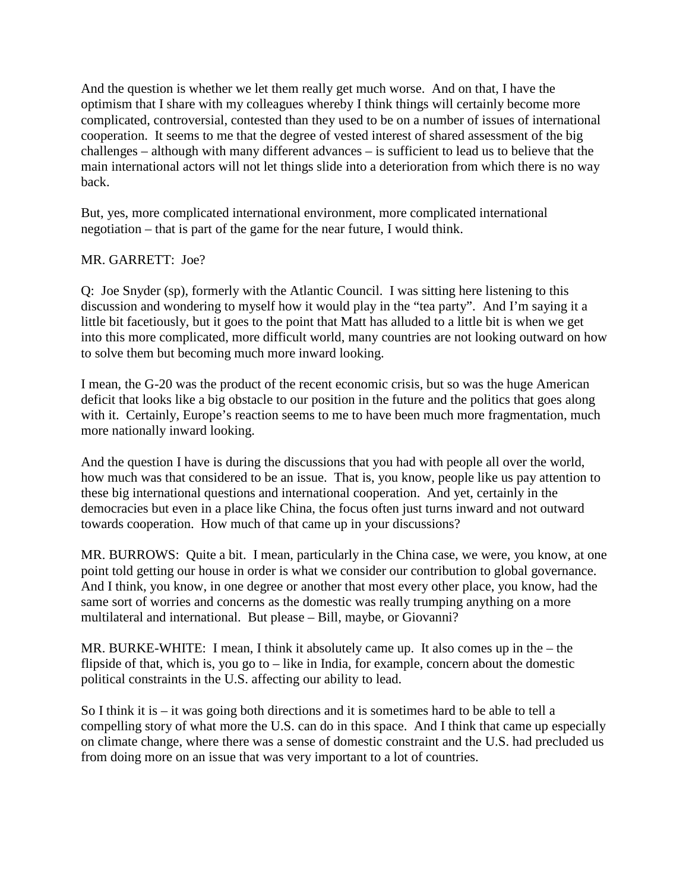And the question is whether we let them really get much worse. And on that, I have the optimism that I share with my colleagues whereby I think things will certainly become more complicated, controversial, contested than they used to be on a number of issues of international cooperation. It seems to me that the degree of vested interest of shared assessment of the big challenges – although with many different advances – is sufficient to lead us to believe that the main international actors will not let things slide into a deterioration from which there is no way back.

But, yes, more complicated international environment, more complicated international negotiation – that is part of the game for the near future, I would think.

### MR. GARRETT: Joe?

Q: Joe Snyder (sp), formerly with the Atlantic Council. I was sitting here listening to this discussion and wondering to myself how it would play in the "tea party". And I'm saying it a little bit facetiously, but it goes to the point that Matt has alluded to a little bit is when we get into this more complicated, more difficult world, many countries are not looking outward on how to solve them but becoming much more inward looking.

I mean, the G-20 was the product of the recent economic crisis, but so was the huge American deficit that looks like a big obstacle to our position in the future and the politics that goes along with it. Certainly, Europe's reaction seems to me to have been much more fragmentation, much more nationally inward looking.

And the question I have is during the discussions that you had with people all over the world, how much was that considered to be an issue. That is, you know, people like us pay attention to these big international questions and international cooperation. And yet, certainly in the democracies but even in a place like China, the focus often just turns inward and not outward towards cooperation. How much of that came up in your discussions?

MR. BURROWS: Quite a bit. I mean, particularly in the China case, we were, you know, at one point told getting our house in order is what we consider our contribution to global governance. And I think, you know, in one degree or another that most every other place, you know, had the same sort of worries and concerns as the domestic was really trumping anything on a more multilateral and international. But please – Bill, maybe, or Giovanni?

MR. BURKE-WHITE: I mean, I think it absolutely came up. It also comes up in the – the flipside of that, which is, you go to – like in India, for example, concern about the domestic political constraints in the U.S. affecting our ability to lead.

So I think it is  $-$  it was going both directions and it is sometimes hard to be able to tell a compelling story of what more the U.S. can do in this space. And I think that came up especially on climate change, where there was a sense of domestic constraint and the U.S. had precluded us from doing more on an issue that was very important to a lot of countries.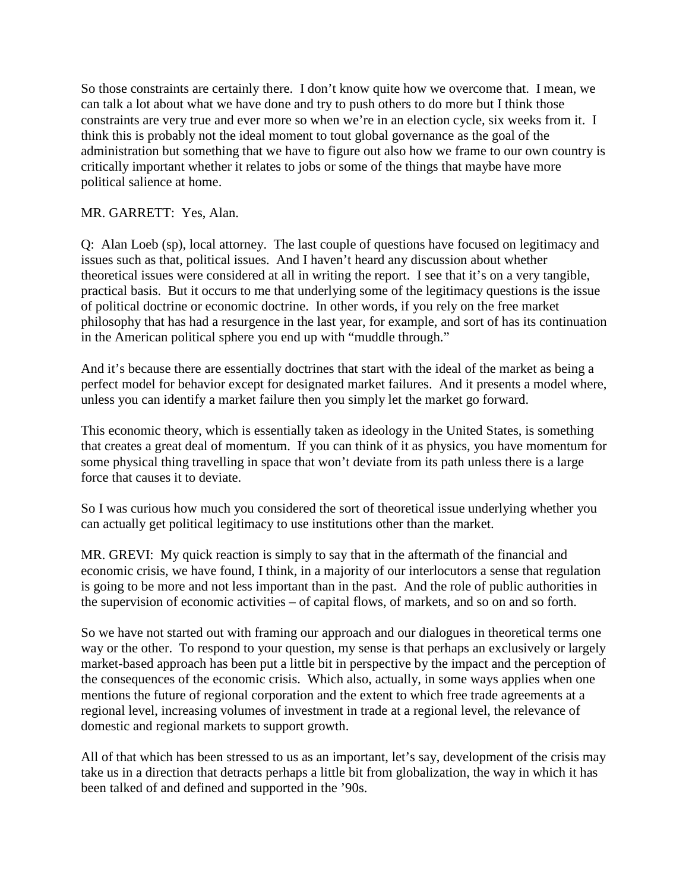So those constraints are certainly there. I don't know quite how we overcome that. I mean, we can talk a lot about what we have done and try to push others to do more but I think those constraints are very true and ever more so when we're in an election cycle, six weeks from it. I think this is probably not the ideal moment to tout global governance as the goal of the administration but something that we have to figure out also how we frame to our own country is critically important whether it relates to jobs or some of the things that maybe have more political salience at home.

# MR. GARRETT: Yes, Alan.

Q: Alan Loeb (sp), local attorney. The last couple of questions have focused on legitimacy and issues such as that, political issues. And I haven't heard any discussion about whether theoretical issues were considered at all in writing the report. I see that it's on a very tangible, practical basis. But it occurs to me that underlying some of the legitimacy questions is the issue of political doctrine or economic doctrine. In other words, if you rely on the free market philosophy that has had a resurgence in the last year, for example, and sort of has its continuation in the American political sphere you end up with "muddle through."

And it's because there are essentially doctrines that start with the ideal of the market as being a perfect model for behavior except for designated market failures. And it presents a model where, unless you can identify a market failure then you simply let the market go forward.

This economic theory, which is essentially taken as ideology in the United States, is something that creates a great deal of momentum. If you can think of it as physics, you have momentum for some physical thing travelling in space that won't deviate from its path unless there is a large force that causes it to deviate.

So I was curious how much you considered the sort of theoretical issue underlying whether you can actually get political legitimacy to use institutions other than the market.

MR. GREVI: My quick reaction is simply to say that in the aftermath of the financial and economic crisis, we have found, I think, in a majority of our interlocutors a sense that regulation is going to be more and not less important than in the past. And the role of public authorities in the supervision of economic activities – of capital flows, of markets, and so on and so forth.

So we have not started out with framing our approach and our dialogues in theoretical terms one way or the other. To respond to your question, my sense is that perhaps an exclusively or largely market-based approach has been put a little bit in perspective by the impact and the perception of the consequences of the economic crisis. Which also, actually, in some ways applies when one mentions the future of regional corporation and the extent to which free trade agreements at a regional level, increasing volumes of investment in trade at a regional level, the relevance of domestic and regional markets to support growth.

All of that which has been stressed to us as an important, let's say, development of the crisis may take us in a direction that detracts perhaps a little bit from globalization, the way in which it has been talked of and defined and supported in the '90s.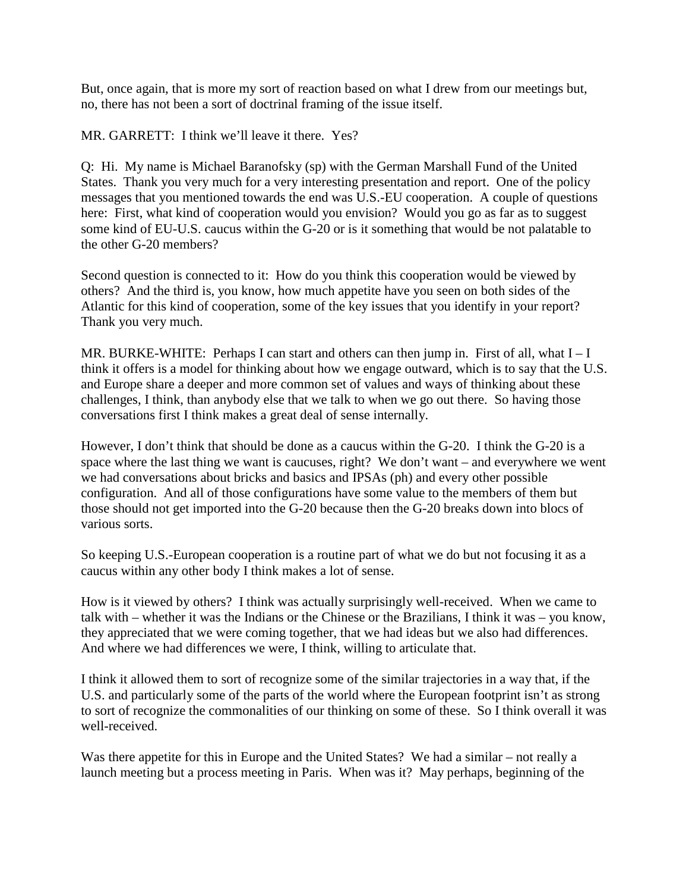But, once again, that is more my sort of reaction based on what I drew from our meetings but, no, there has not been a sort of doctrinal framing of the issue itself.

MR. GARRETT: I think we'll leave it there. Yes?

Q: Hi. My name is Michael Baranofsky (sp) with the German Marshall Fund of the United States. Thank you very much for a very interesting presentation and report. One of the policy messages that you mentioned towards the end was U.S.-EU cooperation. A couple of questions here: First, what kind of cooperation would you envision? Would you go as far as to suggest some kind of EU-U.S. caucus within the G-20 or is it something that would be not palatable to the other G-20 members?

Second question is connected to it: How do you think this cooperation would be viewed by others? And the third is, you know, how much appetite have you seen on both sides of the Atlantic for this kind of cooperation, some of the key issues that you identify in your report? Thank you very much.

MR. BURKE-WHITE: Perhaps I can start and others can then jump in. First of all, what  $I-I$ think it offers is a model for thinking about how we engage outward, which is to say that the U.S. and Europe share a deeper and more common set of values and ways of thinking about these challenges, I think, than anybody else that we talk to when we go out there. So having those conversations first I think makes a great deal of sense internally.

However, I don't think that should be done as a caucus within the G-20. I think the G-20 is a space where the last thing we want is caucuses, right? We don't want – and everywhere we went we had conversations about bricks and basics and IPSAs (ph) and every other possible configuration. And all of those configurations have some value to the members of them but those should not get imported into the G-20 because then the G-20 breaks down into blocs of various sorts.

So keeping U.S.-European cooperation is a routine part of what we do but not focusing it as a caucus within any other body I think makes a lot of sense.

How is it viewed by others? I think was actually surprisingly well-received. When we came to talk with – whether it was the Indians or the Chinese or the Brazilians, I think it was – you know, they appreciated that we were coming together, that we had ideas but we also had differences. And where we had differences we were, I think, willing to articulate that.

I think it allowed them to sort of recognize some of the similar trajectories in a way that, if the U.S. and particularly some of the parts of the world where the European footprint isn't as strong to sort of recognize the commonalities of our thinking on some of these. So I think overall it was well-received.

Was there appetite for this in Europe and the United States? We had a similar – not really a launch meeting but a process meeting in Paris. When was it? May perhaps, beginning of the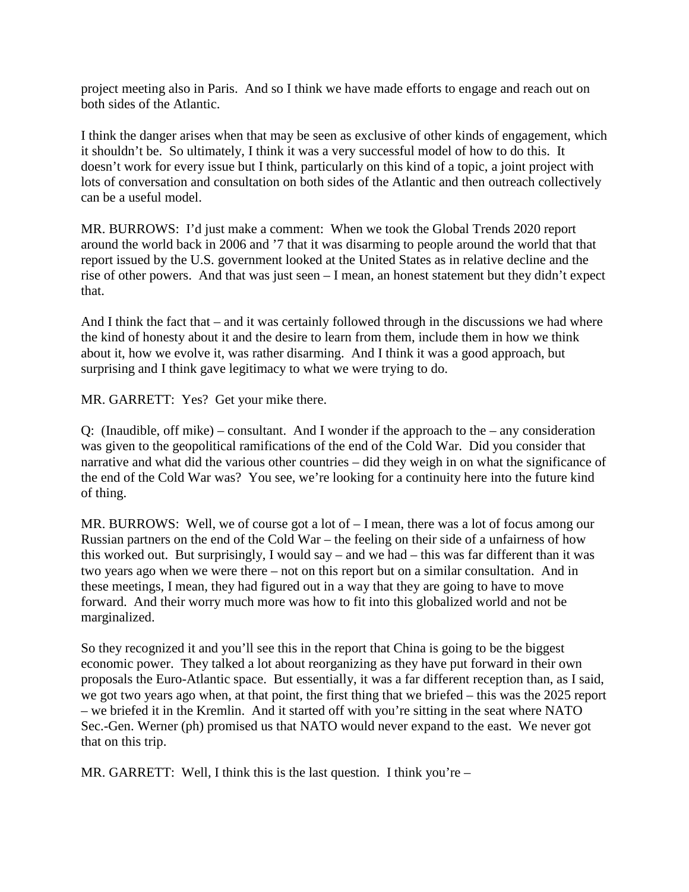project meeting also in Paris. And so I think we have made efforts to engage and reach out on both sides of the Atlantic.

I think the danger arises when that may be seen as exclusive of other kinds of engagement, which it shouldn't be. So ultimately, I think it was a very successful model of how to do this. It doesn't work for every issue but I think, particularly on this kind of a topic, a joint project with lots of conversation and consultation on both sides of the Atlantic and then outreach collectively can be a useful model.

MR. BURROWS: I'd just make a comment: When we took the Global Trends 2020 report around the world back in 2006 and '7 that it was disarming to people around the world that that report issued by the U.S. government looked at the United States as in relative decline and the rise of other powers. And that was just seen – I mean, an honest statement but they didn't expect that.

And I think the fact that – and it was certainly followed through in the discussions we had where the kind of honesty about it and the desire to learn from them, include them in how we think about it, how we evolve it, was rather disarming. And I think it was a good approach, but surprising and I think gave legitimacy to what we were trying to do.

MR. GARRETT: Yes? Get your mike there.

Q: (Inaudible, off mike) – consultant. And I wonder if the approach to the – any consideration was given to the geopolitical ramifications of the end of the Cold War. Did you consider that narrative and what did the various other countries – did they weigh in on what the significance of the end of the Cold War was? You see, we're looking for a continuity here into the future kind of thing.

MR. BURROWS: Well, we of course got a lot of – I mean, there was a lot of focus among our Russian partners on the end of the Cold War – the feeling on their side of a unfairness of how this worked out. But surprisingly, I would say – and we had – this was far different than it was two years ago when we were there – not on this report but on a similar consultation. And in these meetings, I mean, they had figured out in a way that they are going to have to move forward. And their worry much more was how to fit into this globalized world and not be marginalized.

So they recognized it and you'll see this in the report that China is going to be the biggest economic power. They talked a lot about reorganizing as they have put forward in their own proposals the Euro-Atlantic space. But essentially, it was a far different reception than, as I said, we got two years ago when, at that point, the first thing that we briefed – this was the 2025 report – we briefed it in the Kremlin. And it started off with you're sitting in the seat where NATO Sec.-Gen. Werner (ph) promised us that NATO would never expand to the east. We never got that on this trip.

MR. GARRETT: Well, I think this is the last question. I think you're –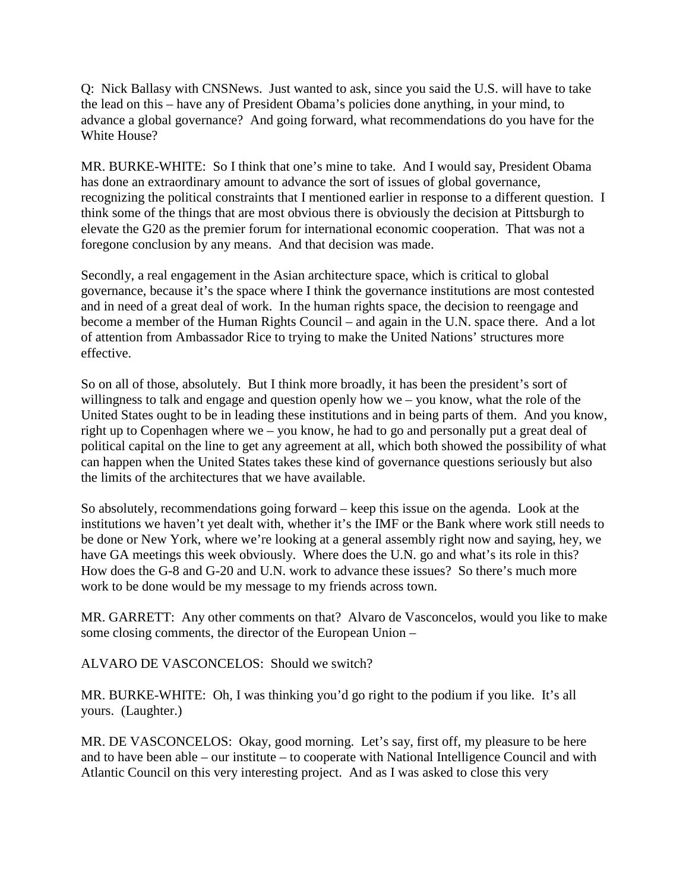Q: Nick Ballasy with CNSNews. Just wanted to ask, since you said the U.S. will have to take the lead on this – have any of President Obama's policies done anything, in your mind, to advance a global governance? And going forward, what recommendations do you have for the White House?

MR. BURKE-WHITE: So I think that one's mine to take. And I would say, President Obama has done an extraordinary amount to advance the sort of issues of global governance, recognizing the political constraints that I mentioned earlier in response to a different question. I think some of the things that are most obvious there is obviously the decision at Pittsburgh to elevate the G20 as the premier forum for international economic cooperation. That was not a foregone conclusion by any means. And that decision was made.

Secondly, a real engagement in the Asian architecture space, which is critical to global governance, because it's the space where I think the governance institutions are most contested and in need of a great deal of work. In the human rights space, the decision to reengage and become a member of the Human Rights Council – and again in the U.N. space there. And a lot of attention from Ambassador Rice to trying to make the United Nations' structures more effective.

So on all of those, absolutely. But I think more broadly, it has been the president's sort of willingness to talk and engage and question openly how we – you know, what the role of the United States ought to be in leading these institutions and in being parts of them. And you know, right up to Copenhagen where we – you know, he had to go and personally put a great deal of political capital on the line to get any agreement at all, which both showed the possibility of what can happen when the United States takes these kind of governance questions seriously but also the limits of the architectures that we have available.

So absolutely, recommendations going forward – keep this issue on the agenda. Look at the institutions we haven't yet dealt with, whether it's the IMF or the Bank where work still needs to be done or New York, where we're looking at a general assembly right now and saying, hey, we have GA meetings this week obviously. Where does the U.N. go and what's its role in this? How does the G-8 and G-20 and U.N. work to advance these issues? So there's much more work to be done would be my message to my friends across town.

MR. GARRETT: Any other comments on that? Alvaro de Vasconcelos, would you like to make some closing comments, the director of the European Union –

ALVARO DE VASCONCELOS: Should we switch?

MR. BURKE-WHITE: Oh, I was thinking you'd go right to the podium if you like. It's all yours. (Laughter.)

MR. DE VASCONCELOS: Okay, good morning. Let's say, first off, my pleasure to be here and to have been able – our institute – to cooperate with National Intelligence Council and with Atlantic Council on this very interesting project. And as I was asked to close this very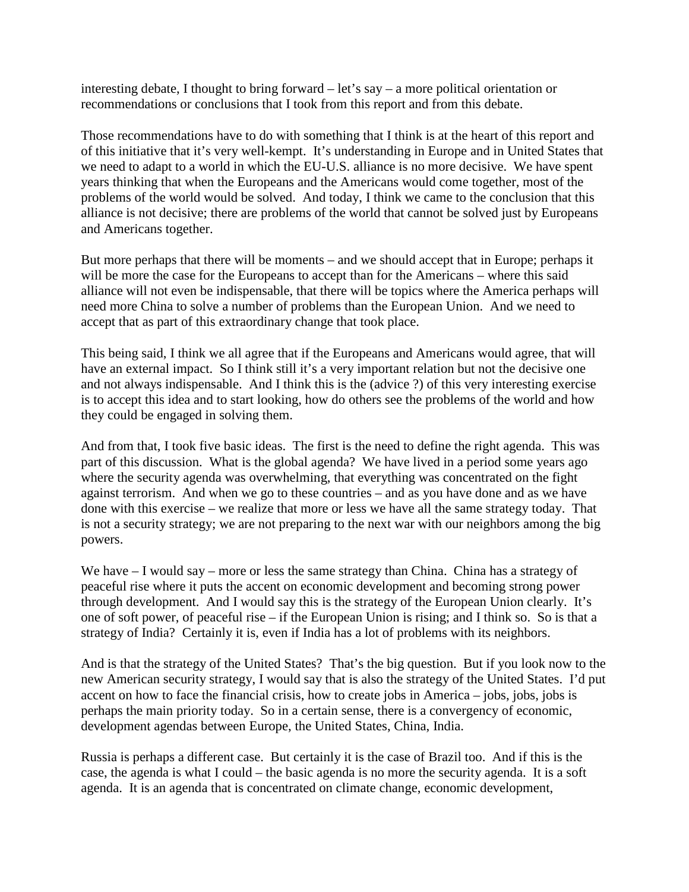interesting debate, I thought to bring forward – let's say – a more political orientation or recommendations or conclusions that I took from this report and from this debate.

Those recommendations have to do with something that I think is at the heart of this report and of this initiative that it's very well-kempt. It's understanding in Europe and in United States that we need to adapt to a world in which the EU-U.S. alliance is no more decisive. We have spent years thinking that when the Europeans and the Americans would come together, most of the problems of the world would be solved. And today, I think we came to the conclusion that this alliance is not decisive; there are problems of the world that cannot be solved just by Europeans and Americans together.

But more perhaps that there will be moments – and we should accept that in Europe; perhaps it will be more the case for the Europeans to accept than for the Americans – where this said alliance will not even be indispensable, that there will be topics where the America perhaps will need more China to solve a number of problems than the European Union. And we need to accept that as part of this extraordinary change that took place.

This being said, I think we all agree that if the Europeans and Americans would agree, that will have an external impact. So I think still it's a very important relation but not the decisive one and not always indispensable. And I think this is the (advice ?) of this very interesting exercise is to accept this idea and to start looking, how do others see the problems of the world and how they could be engaged in solving them.

And from that, I took five basic ideas. The first is the need to define the right agenda. This was part of this discussion. What is the global agenda? We have lived in a period some years ago where the security agenda was overwhelming, that everything was concentrated on the fight against terrorism. And when we go to these countries – and as you have done and as we have done with this exercise – we realize that more or less we have all the same strategy today. That is not a security strategy; we are not preparing to the next war with our neighbors among the big powers.

We have  $-I$  would say – more or less the same strategy than China. China has a strategy of peaceful rise where it puts the accent on economic development and becoming strong power through development. And I would say this is the strategy of the European Union clearly. It's one of soft power, of peaceful rise – if the European Union is rising; and I think so. So is that a strategy of India? Certainly it is, even if India has a lot of problems with its neighbors.

And is that the strategy of the United States? That's the big question. But if you look now to the new American security strategy, I would say that is also the strategy of the United States. I'd put accent on how to face the financial crisis, how to create jobs in America – jobs, jobs, jobs is perhaps the main priority today. So in a certain sense, there is a convergency of economic, development agendas between Europe, the United States, China, India.

Russia is perhaps a different case. But certainly it is the case of Brazil too. And if this is the case, the agenda is what I could – the basic agenda is no more the security agenda. It is a soft agenda. It is an agenda that is concentrated on climate change, economic development,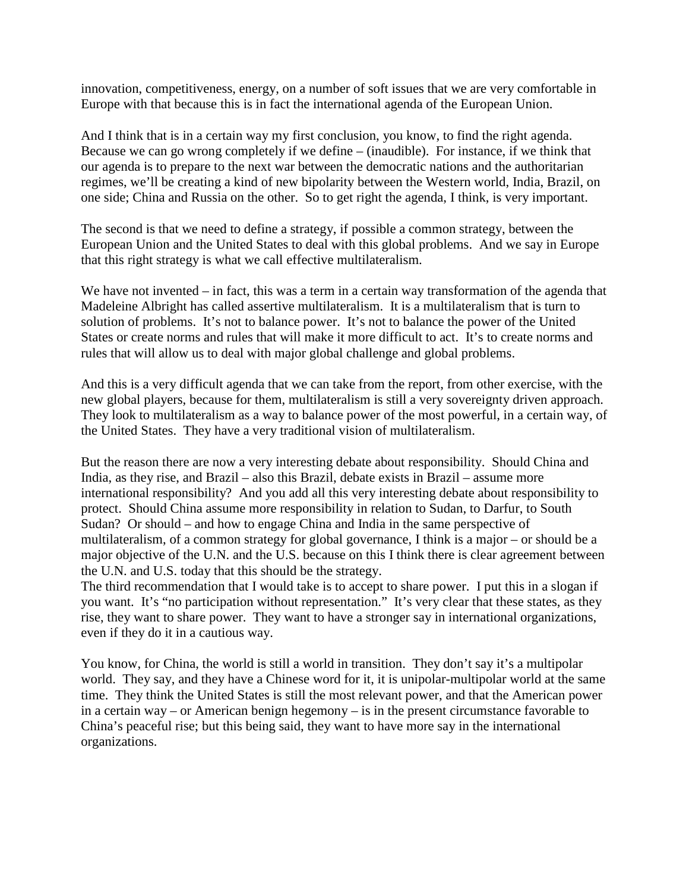innovation, competitiveness, energy, on a number of soft issues that we are very comfortable in Europe with that because this is in fact the international agenda of the European Union.

And I think that is in a certain way my first conclusion, you know, to find the right agenda. Because we can go wrong completely if we define – (inaudible). For instance, if we think that our agenda is to prepare to the next war between the democratic nations and the authoritarian regimes, we'll be creating a kind of new bipolarity between the Western world, India, Brazil, on one side; China and Russia on the other. So to get right the agenda, I think, is very important.

The second is that we need to define a strategy, if possible a common strategy, between the European Union and the United States to deal with this global problems. And we say in Europe that this right strategy is what we call effective multilateralism.

We have not invented – in fact, this was a term in a certain way transformation of the agenda that Madeleine Albright has called assertive multilateralism. It is a multilateralism that is turn to solution of problems. It's not to balance power. It's not to balance the power of the United States or create norms and rules that will make it more difficult to act. It's to create norms and rules that will allow us to deal with major global challenge and global problems.

And this is a very difficult agenda that we can take from the report, from other exercise, with the new global players, because for them, multilateralism is still a very sovereignty driven approach. They look to multilateralism as a way to balance power of the most powerful, in a certain way, of the United States. They have a very traditional vision of multilateralism.

But the reason there are now a very interesting debate about responsibility. Should China and India, as they rise, and Brazil – also this Brazil, debate exists in Brazil – assume more international responsibility? And you add all this very interesting debate about responsibility to protect. Should China assume more responsibility in relation to Sudan, to Darfur, to South Sudan? Or should – and how to engage China and India in the same perspective of multilateralism, of a common strategy for global governance, I think is a major – or should be a major objective of the U.N. and the U.S. because on this I think there is clear agreement between the U.N. and U.S. today that this should be the strategy.

The third recommendation that I would take is to accept to share power. I put this in a slogan if you want. It's "no participation without representation." It's very clear that these states, as they rise, they want to share power. They want to have a stronger say in international organizations, even if they do it in a cautious way.

You know, for China, the world is still a world in transition. They don't say it's a multipolar world. They say, and they have a Chinese word for it, it is unipolar-multipolar world at the same time. They think the United States is still the most relevant power, and that the American power in a certain way – or American benign hegemony – is in the present circumstance favorable to China's peaceful rise; but this being said, they want to have more say in the international organizations.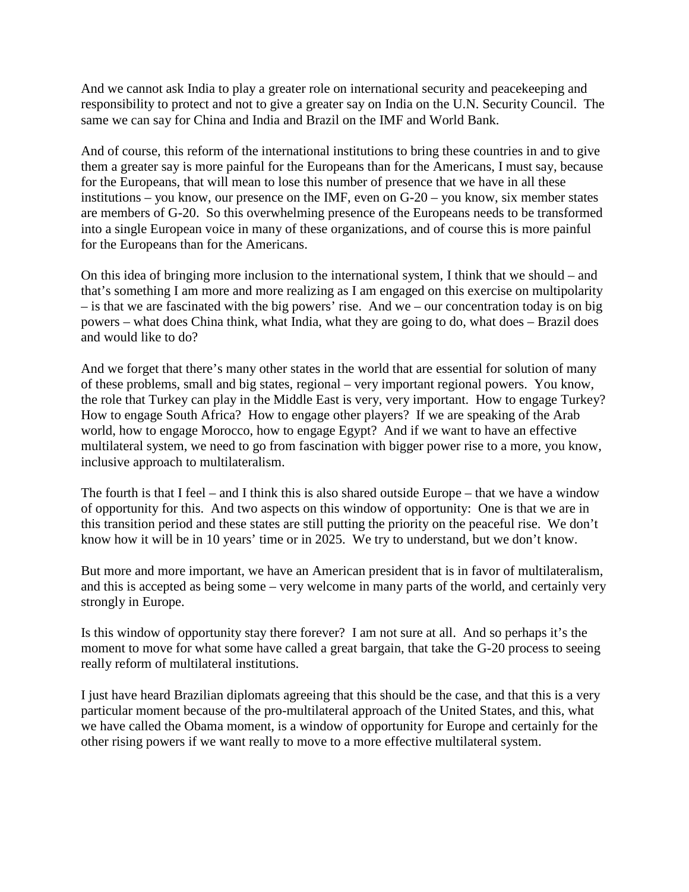And we cannot ask India to play a greater role on international security and peacekeeping and responsibility to protect and not to give a greater say on India on the U.N. Security Council. The same we can say for China and India and Brazil on the IMF and World Bank.

And of course, this reform of the international institutions to bring these countries in and to give them a greater say is more painful for the Europeans than for the Americans, I must say, because for the Europeans, that will mean to lose this number of presence that we have in all these institutions – you know, our presence on the IMF, even on G-20 – you know, six member states are members of G-20. So this overwhelming presence of the Europeans needs to be transformed into a single European voice in many of these organizations, and of course this is more painful for the Europeans than for the Americans.

On this idea of bringing more inclusion to the international system, I think that we should – and that's something I am more and more realizing as I am engaged on this exercise on multipolarity – is that we are fascinated with the big powers' rise. And we – our concentration today is on big powers – what does China think, what India, what they are going to do, what does – Brazil does and would like to do?

And we forget that there's many other states in the world that are essential for solution of many of these problems, small and big states, regional – very important regional powers. You know, the role that Turkey can play in the Middle East is very, very important. How to engage Turkey? How to engage South Africa? How to engage other players? If we are speaking of the Arab world, how to engage Morocco, how to engage Egypt? And if we want to have an effective multilateral system, we need to go from fascination with bigger power rise to a more, you know, inclusive approach to multilateralism.

The fourth is that I feel – and I think this is also shared outside Europe – that we have a window of opportunity for this. And two aspects on this window of opportunity: One is that we are in this transition period and these states are still putting the priority on the peaceful rise. We don't know how it will be in 10 years' time or in 2025. We try to understand, but we don't know.

But more and more important, we have an American president that is in favor of multilateralism, and this is accepted as being some – very welcome in many parts of the world, and certainly very strongly in Europe.

Is this window of opportunity stay there forever? I am not sure at all. And so perhaps it's the moment to move for what some have called a great bargain, that take the G-20 process to seeing really reform of multilateral institutions.

I just have heard Brazilian diplomats agreeing that this should be the case, and that this is a very particular moment because of the pro-multilateral approach of the United States, and this, what we have called the Obama moment, is a window of opportunity for Europe and certainly for the other rising powers if we want really to move to a more effective multilateral system.